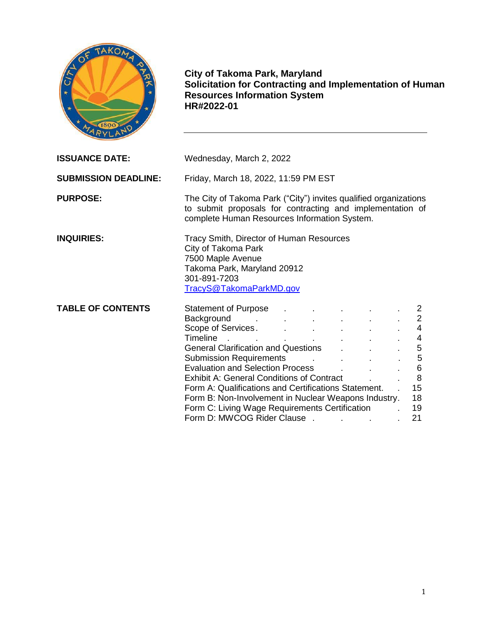

**City of Takoma Park, Maryland Solicitation for Contracting and Implementation of Human Resources Information System HR#2022-01**

| <b>ISSUANCE DATE:</b>       | Wednesday, March 2, 2022                                                                                                                                                                                                                                                                                                                                                                                                                                                                                                                                                                                                                                                                                                                                                                                                                                                                                        |                                                                    |  |
|-----------------------------|-----------------------------------------------------------------------------------------------------------------------------------------------------------------------------------------------------------------------------------------------------------------------------------------------------------------------------------------------------------------------------------------------------------------------------------------------------------------------------------------------------------------------------------------------------------------------------------------------------------------------------------------------------------------------------------------------------------------------------------------------------------------------------------------------------------------------------------------------------------------------------------------------------------------|--------------------------------------------------------------------|--|
| <b>SUBMISSION DEADLINE:</b> | Friday, March 18, 2022, 11:59 PM EST                                                                                                                                                                                                                                                                                                                                                                                                                                                                                                                                                                                                                                                                                                                                                                                                                                                                            |                                                                    |  |
| <b>PURPOSE:</b>             | The City of Takoma Park ("City") invites qualified organizations<br>to submit proposals for contracting and implementation of<br>complete Human Resources Information System.                                                                                                                                                                                                                                                                                                                                                                                                                                                                                                                                                                                                                                                                                                                                   |                                                                    |  |
| <b>INQUIRIES:</b>           | Tracy Smith, Director of Human Resources<br>City of Takoma Park<br>7500 Maple Avenue<br>Takoma Park, Maryland 20912<br>301-891-7203<br>TracyS@TakomaParkMD.gov                                                                                                                                                                                                                                                                                                                                                                                                                                                                                                                                                                                                                                                                                                                                                  |                                                                    |  |
| <b>TABLE OF CONTENTS</b>    | <b>Statement of Purpose</b><br>Background contract the contract of the second service of the service of the service of the service of the service of the service of the service of the service of the service of the service of the service of the service of<br>Scope of Services. And Allen Contract of Services.<br>Timeline and the second state of the second state of the second state of the second state of the second state<br>General Clarification and Questions Fig. 2016.<br>Submission Requirements Allen Allen Allen Allen Allen Allen Allen Allen Allen Allen Allen Allen Allen Allen Al<br>Evaluation and Selection Process [155]<br><b>Exhibit A: General Conditions of Contract</b><br>Form A: Qualifications and Certifications Statement.<br>Form B: Non-Involvement in Nuclear Weapons Industry.<br>Form C: Living Wage Requirements Certification Form C:<br>Form D: MWCOG Rider Clause. | $\mathbf{2}$<br>4<br>4<br>5<br>5<br>6<br>8<br>15<br>18<br>19<br>21 |  |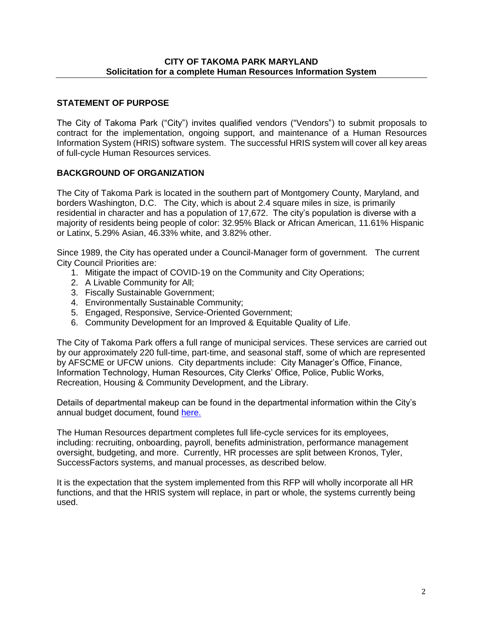### **CITY OF TAKOMA PARK MARYLAND Solicitation for a complete Human Resources Information System**

### **STATEMENT OF PURPOSE**

The City of Takoma Park ("City") invites qualified vendors ("Vendors") to submit proposals to contract for the implementation, ongoing support, and maintenance of a Human Resources Information System (HRIS) software system. The successful HRIS system will cover all key areas of full-cycle Human Resources services.

### **BACKGROUND OF ORGANIZATION**

The City of Takoma Park is located in the southern part of Montgomery County, Maryland, and borders Washington, D.C. The City, which is about 2.4 square miles in size, is primarily residential in character and has a population of 17,672. The city's population is diverse with a majority of residents being people of color: 32.95% Black or African American, 11.61% Hispanic or Latinx, 5.29% Asian, 46.33% white, and 3.82% other.

Since 1989, the City has operated under a Council-Manager form of government. The current City Council Priorities are:

- 1. Mitigate the impact of COVID-19 on the Community and City Operations;
- 2. A Livable Community for All;
- 3. Fiscally Sustainable Government;
- 4. Environmentally Sustainable Community;
- 5. Engaged, Responsive, Service-Oriented Government;
- 6. Community Development for an Improved & Equitable Quality of Life.

The City of Takoma Park offers a full range of municipal services. These services are carried out by our approximately 220 full-time, part-time, and seasonal staff, some of which are represented by AFSCME or UFCW unions. City departments include: City Manager's Office, Finance, Information Technology, Human Resources, City Clerks' Office, Police, Public Works, Recreation, Housing & Community Development, and the Library.

Details of departmental makeup can be found in the departmental information within the City's annual budget document, found [here.](https://documents.takomaparkmd.gov/government/finance/budgets-and-financial-documents/proposed-budget/FY22_Proposed_Budget.pdf)

The Human Resources department completes full life-cycle services for its employees, including: recruiting, onboarding, payroll, benefits administration, performance management oversight, budgeting, and more. Currently, HR processes are split between Kronos, Tyler, SuccessFactors systems, and manual processes, as described below.

It is the expectation that the system implemented from this RFP will wholly incorporate all HR functions, and that the HRIS system will replace, in part or whole, the systems currently being used.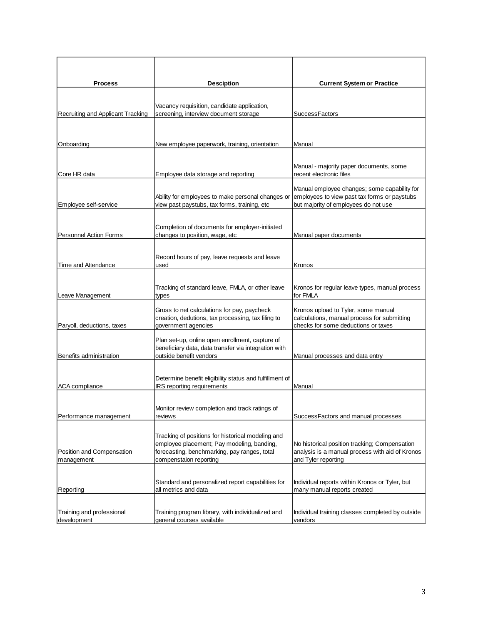| <b>Process</b>                           | <b>Desciption</b>                                                                                                                                                         | <b>Current System or Practice</b>                                                                                                    |
|------------------------------------------|---------------------------------------------------------------------------------------------------------------------------------------------------------------------------|--------------------------------------------------------------------------------------------------------------------------------------|
|                                          |                                                                                                                                                                           |                                                                                                                                      |
| Recruiting and Applicant Tracking        | Vacancy requisition, candidate application,<br>screening, interview document storage                                                                                      | <b>SuccessFactors</b>                                                                                                                |
|                                          |                                                                                                                                                                           |                                                                                                                                      |
| Onboarding                               | New employee paperwork, training, orientation                                                                                                                             | Manual                                                                                                                               |
| Core HR data                             | Employee data storage and reporting                                                                                                                                       | Manual - majority paper documents, some<br>recent electronic files                                                                   |
| Employee self-service                    | Ability for employees to make personal changes or<br>view past paystubs, tax forms, training, etc                                                                         | Manual employee changes; some capability for<br>employees to view past tax forms or paystubs<br>but majority of employees do not use |
|                                          |                                                                                                                                                                           |                                                                                                                                      |
| <b>Personnel Action Forms</b>            | Completion of documents for employer-initiated<br>changes to position, wage, etc                                                                                          | Manual paper documents                                                                                                               |
|                                          |                                                                                                                                                                           |                                                                                                                                      |
| Time and Attendance                      | Record hours of pay, leave requests and leave<br>used                                                                                                                     | Kronos                                                                                                                               |
|                                          | Tracking of standard leave, FMLA, or other leave                                                                                                                          | Kronos for regular leave types, manual process                                                                                       |
| Leave Management                         | types                                                                                                                                                                     | for FMLA                                                                                                                             |
| Paryoll, deductions, taxes               | Gross to net calculations for pay, paycheck<br>creation, dedutions, tax processing, tax filing to<br>government agencies                                                  | Kronos upload to Tyler, some manual<br>calculations, manual process for submitting<br>checks for some deductions or taxes            |
| Benefits administration                  | Plan set-up, online open enrollment, capture of<br>beneficiary data, data transfer via integration with<br>outside benefit vendors                                        | Manual processes and data entry                                                                                                      |
|                                          |                                                                                                                                                                           |                                                                                                                                      |
| <b>ACA</b> compliance                    | Determine benefit eligibility status and fulfillment of<br>IRS reporting requirements                                                                                     | Manual                                                                                                                               |
|                                          | Monitor review completion and track ratings of                                                                                                                            |                                                                                                                                      |
| Performance management                   | reviews                                                                                                                                                                   | SuccessFactors and manual processes                                                                                                  |
| Position and Compensation<br>management  | Tracking of positions for historical modeling and<br>employee placement; Pay modeling, banding,<br>forecasting, benchmarking, pay ranges, total<br>compenstaion reporting | No historical position tracking; Compensation<br>analysis is a manual process with aid of Kronos<br>and Tyler reporting              |
| Reporting                                | Standard and personalized report capabilities for<br>all metrics and data                                                                                                 | Individual reports within Kronos or Tyler, but<br>many manual reports created                                                        |
| Training and professional<br>development | Training program library, with individualized and<br>general courses available                                                                                            | Individual training classes completed by outside<br>vendors                                                                          |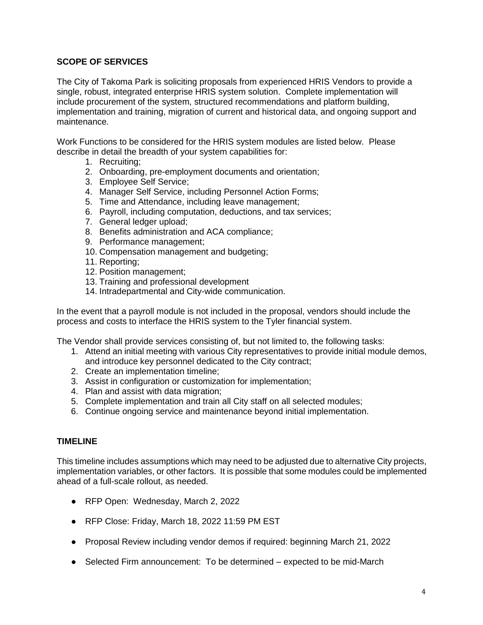### **SCOPE OF SERVICES**

The City of Takoma Park is soliciting proposals from experienced HRIS Vendors to provide a single, robust, integrated enterprise HRIS system solution. Complete implementation will include procurement of the system, structured recommendations and platform building, implementation and training, migration of current and historical data, and ongoing support and maintenance.

Work Functions to be considered for the HRIS system modules are listed below. Please describe in detail the breadth of your system capabilities for:

- 1. Recruiting;
- 2. Onboarding, pre-employment documents and orientation;
- 3. Employee Self Service;
- 4. Manager Self Service, including Personnel Action Forms;
- 5. Time and Attendance, including leave management;
- 6. Payroll, including computation, deductions, and tax services;
- 7. General ledger upload;
- 8. Benefits administration and ACA compliance;
- 9. Performance management;
- 10. Compensation management and budgeting;
- 11. Reporting;
- 12. Position management;
- 13. Training and professional development
- 14. Intradepartmental and City-wide communication.

In the event that a payroll module is not included in the proposal, vendors should include the process and costs to interface the HRIS system to the Tyler financial system.

The Vendor shall provide services consisting of, but not limited to, the following tasks:

- 1. Attend an initial meeting with various City representatives to provide initial module demos, and introduce key personnel dedicated to the City contract;
- 2. Create an implementation timeline;
- 3. Assist in configuration or customization for implementation;
- 4. Plan and assist with data migration;
- 5. Complete implementation and train all City staff on all selected modules;
- 6. Continue ongoing service and maintenance beyond initial implementation.

#### **TIMELINE**

This timeline includes assumptions which may need to be adjusted due to alternative City projects, implementation variables, or other factors. It is possible that some modules could be implemented ahead of a full-scale rollout, as needed.

- RFP Open: Wednesday, March 2, 2022
- RFP Close: Friday, March 18, 2022 11:59 PM EST
- Proposal Review including vendor demos if required: beginning March 21, 2022
- Selected Firm announcement: To be determined expected to be mid-March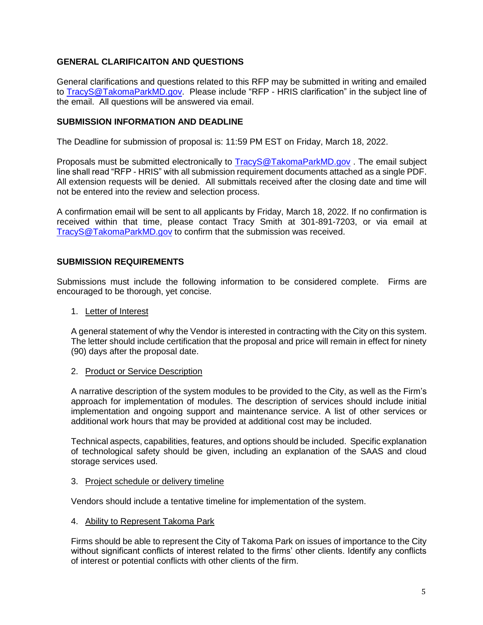## **GENERAL CLARIFICAITON AND QUESTIONS**

General clarifications and questions related to this RFP may be submitted in writing and emailed to [TracyS@TakomaParkMD.gov.](mailto:TracyS@TakomaParkMD.gov) Please include "RFP - HRIS clarification" in the subject line of the email. All questions will be answered via email.

### **SUBMISSION INFORMATION AND DEADLINE**

The Deadline for submission of proposal is: 11:59 PM EST on Friday, March 18, 2022.

Proposals must be submitted electronically to [TracyS@TakomaParkMD.gov](mailto:TracyS@TakomaParkMD.gov) . The email subject line shall read "RFP - HRIS" with all submission requirement documents attached as a single PDF. All extension requests will be denied. All submittals received after the closing date and time will not be entered into the review and selection process.

A confirmation email will be sent to all applicants by Friday, March 18, 2022. If no confirmation is received within that time, please contact Tracy Smith at 301-891-7203, or via email at [TracyS@TakomaParkMD.gov](mailto:TracyS@TakomaParkMD.gov) to confirm that the submission was received.

### **SUBMISSION REQUIREMENTS**

Submissions must include the following information to be considered complete. Firms are encouraged to be thorough, yet concise.

#### 1. Letter of Interest

A general statement of why the Vendor is interested in contracting with the City on this system. The letter should include certification that the proposal and price will remain in effect for ninety (90) days after the proposal date.

#### 2. Product or Service Description

A narrative description of the system modules to be provided to the City, as well as the Firm's approach for implementation of modules. The description of services should include initial implementation and ongoing support and maintenance service. A list of other services or additional work hours that may be provided at additional cost may be included.

Technical aspects, capabilities, features, and options should be included. Specific explanation of technological safety should be given, including an explanation of the SAAS and cloud storage services used.

#### 3. Project schedule or delivery timeline

Vendors should include a tentative timeline for implementation of the system.

#### 4. Ability to Represent Takoma Park

Firms should be able to represent the City of Takoma Park on issues of importance to the City without significant conflicts of interest related to the firms' other clients. Identify any conflicts of interest or potential conflicts with other clients of the firm.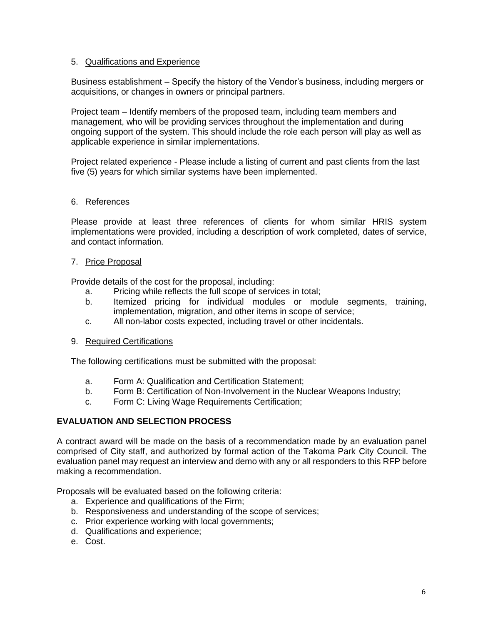### 5. Qualifications and Experience

Business establishment – Specify the history of the Vendor's business, including mergers or acquisitions, or changes in owners or principal partners.

Project team – Identify members of the proposed team, including team members and management, who will be providing services throughout the implementation and during ongoing support of the system. This should include the role each person will play as well as applicable experience in similar implementations.

Project related experience - Please include a listing of current and past clients from the last five (5) years for which similar systems have been implemented.

### 6. References

Please provide at least three references of clients for whom similar HRIS system implementations were provided, including a description of work completed, dates of service, and contact information.

#### 7. Price Proposal

Provide details of the cost for the proposal, including:

- a. Pricing while reflects the full scope of services in total;
- b. Itemized pricing for individual modules or module segments, training, implementation, migration, and other items in scope of service;
- c. All non-labor costs expected, including travel or other incidentals.
- 9. Required Certifications

The following certifications must be submitted with the proposal:

- a. Form A: Qualification and Certification Statement;
- b. Form B: Certification of Non-Involvement in the Nuclear Weapons Industry;
- c. Form C: Living Wage Requirements Certification;

### **EVALUATION AND SELECTION PROCESS**

A contract award will be made on the basis of a recommendation made by an evaluation panel comprised of City staff, and authorized by formal action of the Takoma Park City Council. The evaluation panel may request an interview and demo with any or all responders to this RFP before making a recommendation.

Proposals will be evaluated based on the following criteria:

- a. Experience and qualifications of the Firm;
- b. Responsiveness and understanding of the scope of services;
- c. Prior experience working with local governments;
- d. Qualifications and experience;
- e. Cost.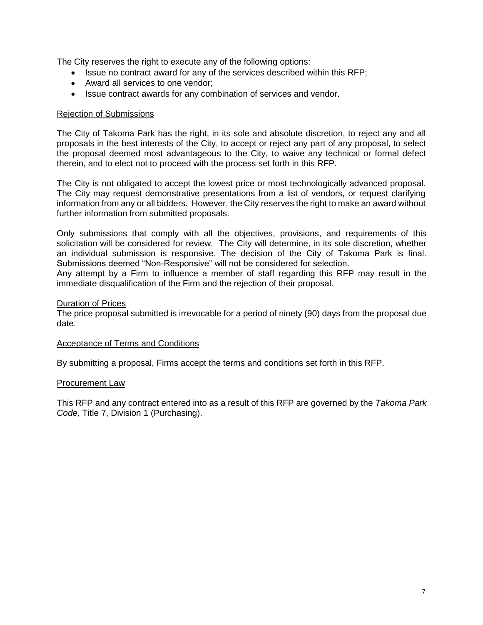The City reserves the right to execute any of the following options:

- Issue no contract award for any of the services described within this RFP;
- Award all services to one vendor;
- Issue contract awards for any combination of services and vendor.

#### Rejection of Submissions

The City of Takoma Park has the right, in its sole and absolute discretion, to reject any and all proposals in the best interests of the City, to accept or reject any part of any proposal, to select the proposal deemed most advantageous to the City, to waive any technical or formal defect therein, and to elect not to proceed with the process set forth in this RFP.

The City is not obligated to accept the lowest price or most technologically advanced proposal. The City may request demonstrative presentations from a list of vendors, or request clarifying information from any or all bidders. However, the City reserves the right to make an award without further information from submitted proposals.

Only submissions that comply with all the objectives, provisions, and requirements of this solicitation will be considered for review. The City will determine, in its sole discretion, whether an individual submission is responsive. The decision of the City of Takoma Park is final. Submissions deemed "Non-Responsive" will not be considered for selection.

Any attempt by a Firm to influence a member of staff regarding this RFP may result in the immediate disqualification of the Firm and the rejection of their proposal.

#### Duration of Prices

The price proposal submitted is irrevocable for a period of ninety (90) days from the proposal due date.

#### Acceptance of Terms and Conditions

By submitting a proposal, Firms accept the terms and conditions set forth in this RFP.

#### Procurement Law

This RFP and any contract entered into as a result of this RFP are governed by the *Takoma Park Code,* Title 7, Division 1 (Purchasing).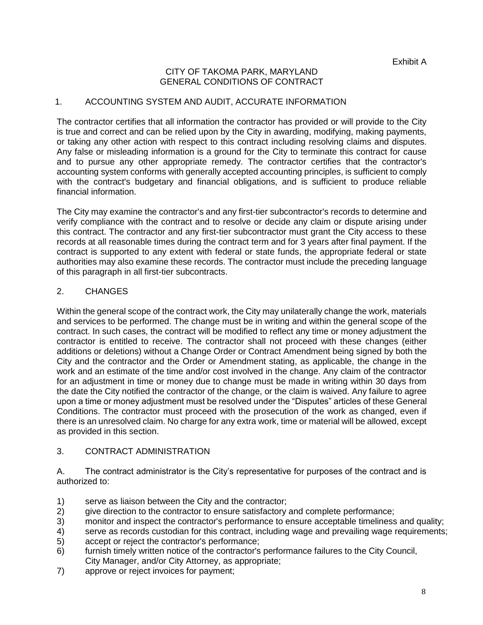### CITY OF TAKOMA PARK, MARYLAND GENERAL CONDITIONS OF CONTRACT

## 1. ACCOUNTING SYSTEM AND AUDIT, ACCURATE INFORMATION

The contractor certifies that all information the contractor has provided or will provide to the City is true and correct and can be relied upon by the City in awarding, modifying, making payments, or taking any other action with respect to this contract including resolving claims and disputes. Any false or misleading information is a ground for the City to terminate this contract for cause and to pursue any other appropriate remedy. The contractor certifies that the contractor's accounting system conforms with generally accepted accounting principles, is sufficient to comply with the contract's budgetary and financial obligations, and is sufficient to produce reliable financial information.

The City may examine the contractor's and any first-tier subcontractor's records to determine and verify compliance with the contract and to resolve or decide any claim or dispute arising under this contract. The contractor and any first-tier subcontractor must grant the City access to these records at all reasonable times during the contract term and for 3 years after final payment. If the contract is supported to any extent with federal or state funds, the appropriate federal or state authorities may also examine these records. The contractor must include the preceding language of this paragraph in all first-tier subcontracts.

## 2. CHANGES

Within the general scope of the contract work, the City may unilaterally change the work, materials and services to be performed. The change must be in writing and within the general scope of the contract. In such cases, the contract will be modified to reflect any time or money adjustment the contractor is entitled to receive. The contractor shall not proceed with these changes (either additions or deletions) without a Change Order or Contract Amendment being signed by both the City and the contractor and the Order or Amendment stating, as applicable, the change in the work and an estimate of the time and/or cost involved in the change. Any claim of the contractor for an adjustment in time or money due to change must be made in writing within 30 days from the date the City notified the contractor of the change, or the claim is waived. Any failure to agree upon a time or money adjustment must be resolved under the "Disputes" articles of these General Conditions. The contractor must proceed with the prosecution of the work as changed, even if there is an unresolved claim. No charge for any extra work, time or material will be allowed, except as provided in this section.

### 3. CONTRACT ADMINISTRATION

A. The contract administrator is the City's representative for purposes of the contract and is authorized to:

- 1) serve as liaison between the City and the contractor;
- 2) give direction to the contractor to ensure satisfactory and complete performance;
- 3) monitor and inspect the contractor's performance to ensure acceptable timeliness and quality;
- 4) serve as records custodian for this contract, including wage and prevailing wage requirements; 5) accept or reject the contractor's performance;
- 
- 6) furnish timely written notice of the contractor's performance failures to the City Council, City Manager, and/or City Attorney, as appropriate;
- 7) approve or reject invoices for payment;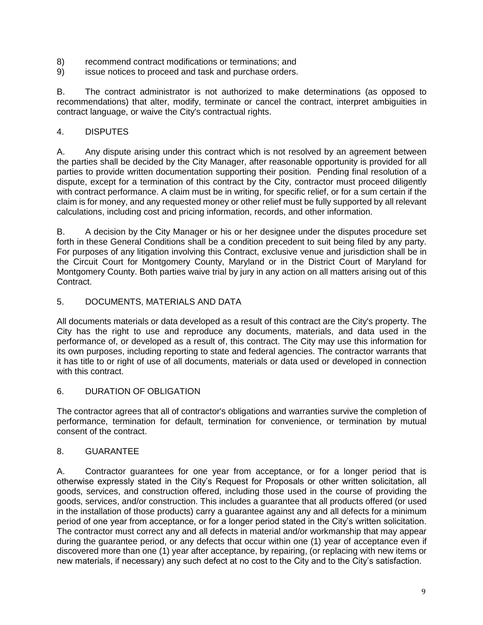- 8) recommend contract modifications or terminations; and
- 9) issue notices to proceed and task and purchase orders.

B. The contract administrator is not authorized to make determinations (as opposed to recommendations) that alter, modify, terminate or cancel the contract, interpret ambiguities in contract language, or waive the City's contractual rights.

## 4. DISPUTES

A. Any dispute arising under this contract which is not resolved by an agreement between the parties shall be decided by the City Manager, after reasonable opportunity is provided for all parties to provide written documentation supporting their position. Pending final resolution of a dispute, except for a termination of this contract by the City, contractor must proceed diligently with contract performance. A claim must be in writing, for specific relief, or for a sum certain if the claim is for money, and any requested money or other relief must be fully supported by all relevant calculations, including cost and pricing information, records, and other information.

B. A decision by the City Manager or his or her designee under the disputes procedure set forth in these General Conditions shall be a condition precedent to suit being filed by any party. For purposes of any litigation involving this Contract, exclusive venue and jurisdiction shall be in the Circuit Court for Montgomery County, Maryland or in the District Court of Maryland for Montgomery County. Both parties waive trial by jury in any action on all matters arising out of this Contract.

### 5. DOCUMENTS, MATERIALS AND DATA

All documents materials or data developed as a result of this contract are the City's property. The City has the right to use and reproduce any documents, materials, and data used in the performance of, or developed as a result of, this contract. The City may use this information for its own purposes, including reporting to state and federal agencies. The contractor warrants that it has title to or right of use of all documents, materials or data used or developed in connection with this contract.

### 6. DURATION OF OBLIGATION

The contractor agrees that all of contractor's obligations and warranties survive the completion of performance, termination for default, termination for convenience, or termination by mutual consent of the contract.

### 8. GUARANTEE

A. Contractor guarantees for one year from acceptance, or for a longer period that is otherwise expressly stated in the City's Request for Proposals or other written solicitation, all goods, services, and construction offered, including those used in the course of providing the goods, services, and/or construction. This includes a guarantee that all products offered (or used in the installation of those products) carry a guarantee against any and all defects for a minimum period of one year from acceptance, or for a longer period stated in the City's written solicitation. The contractor must correct any and all defects in material and/or workmanship that may appear during the guarantee period, or any defects that occur within one (1) year of acceptance even if discovered more than one (1) year after acceptance, by repairing, (or replacing with new items or new materials, if necessary) any such defect at no cost to the City and to the City's satisfaction.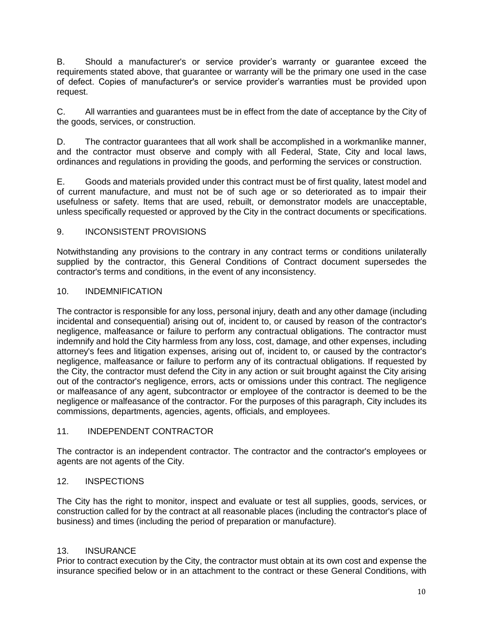B. Should a manufacturer's or service provider's warranty or guarantee exceed the requirements stated above, that guarantee or warranty will be the primary one used in the case of defect. Copies of manufacturer's or service provider's warranties must be provided upon request.

C. All warranties and guarantees must be in effect from the date of acceptance by the City of the goods, services, or construction.

D. The contractor guarantees that all work shall be accomplished in a workmanlike manner, and the contractor must observe and comply with all Federal, State, City and local laws, ordinances and regulations in providing the goods, and performing the services or construction.

E. Goods and materials provided under this contract must be of first quality, latest model and of current manufacture, and must not be of such age or so deteriorated as to impair their usefulness or safety. Items that are used, rebuilt, or demonstrator models are unacceptable, unless specifically requested or approved by the City in the contract documents or specifications.

## 9. INCONSISTENT PROVISIONS

Notwithstanding any provisions to the contrary in any contract terms or conditions unilaterally supplied by the contractor, this General Conditions of Contract document supersedes the contractor's terms and conditions, in the event of any inconsistency.

### 10. INDEMNIFICATION

The contractor is responsible for any loss, personal injury, death and any other damage (including incidental and consequential) arising out of, incident to, or caused by reason of the contractor's negligence, malfeasance or failure to perform any contractual obligations. The contractor must indemnify and hold the City harmless from any loss, cost, damage, and other expenses, including attorney's fees and litigation expenses, arising out of, incident to, or caused by the contractor's negligence, malfeasance or failure to perform any of its contractual obligations. If requested by the City, the contractor must defend the City in any action or suit brought against the City arising out of the contractor's negligence, errors, acts or omissions under this contract. The negligence or malfeasance of any agent, subcontractor or employee of the contractor is deemed to be the negligence or malfeasance of the contractor. For the purposes of this paragraph, City includes its commissions, departments, agencies, agents, officials, and employees.

## 11. INDEPENDENT CONTRACTOR

The contractor is an independent contractor. The contractor and the contractor's employees or agents are not agents of the City.

## 12. INSPECTIONS

The City has the right to monitor, inspect and evaluate or test all supplies, goods, services, or construction called for by the contract at all reasonable places (including the contractor's place of business) and times (including the period of preparation or manufacture).

### 13. INSURANCE

Prior to contract execution by the City, the contractor must obtain at its own cost and expense the insurance specified below or in an attachment to the contract or these General Conditions, with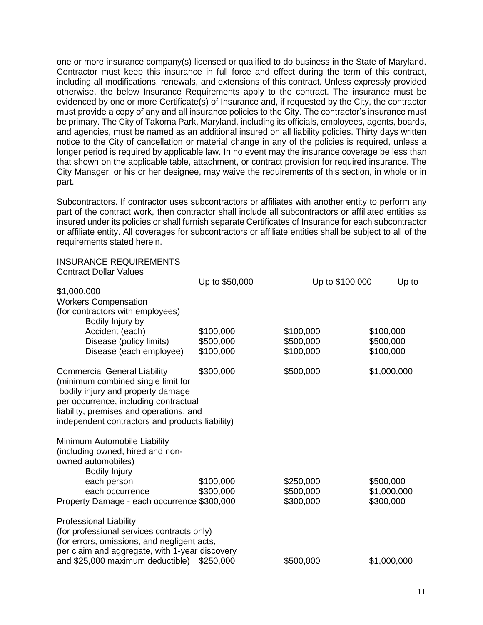one or more insurance company(s) licensed or qualified to do business in the State of Maryland. Contractor must keep this insurance in full force and effect during the term of this contract, including all modifications, renewals, and extensions of this contract. Unless expressly provided otherwise, the below Insurance Requirements apply to the contract. The insurance must be evidenced by one or more Certificate(s) of Insurance and, if requested by the City, the contractor must provide a copy of any and all insurance policies to the City. The contractor's insurance must be primary. The City of Takoma Park, Maryland, including its officials, employees, agents, boards, and agencies, must be named as an additional insured on all liability policies. Thirty days written notice to the City of cancellation or material change in any of the policies is required, unless a longer period is required by applicable law. In no event may the insurance coverage be less than that shown on the applicable table, attachment, or contract provision for required insurance. The City Manager, or his or her designee, may waive the requirements of this section, in whole or in part.

Subcontractors. If contractor uses subcontractors or affiliates with another entity to perform any part of the contract work, then contractor shall include all subcontractors or affiliated entities as insured under its policies or shall furnish separate Certificates of Insurance for each subcontractor or affiliate entity. All coverages for subcontractors or affiliate entities shall be subject to all of the requirements stated herein.

#### INSURANCE REQUIREMENTS Contract Dollar Values

|                                                                                                                                                                                                                                                                                       | Up to \$50,000 | Up to \$100,000 | Up to       |
|---------------------------------------------------------------------------------------------------------------------------------------------------------------------------------------------------------------------------------------------------------------------------------------|----------------|-----------------|-------------|
| \$1,000,000                                                                                                                                                                                                                                                                           |                |                 |             |
| <b>Workers Compensation</b>                                                                                                                                                                                                                                                           |                |                 |             |
| (for contractors with employees)                                                                                                                                                                                                                                                      |                |                 |             |
| Bodily Injury by                                                                                                                                                                                                                                                                      |                |                 |             |
| Accident (each)                                                                                                                                                                                                                                                                       | \$100,000      | \$100,000       | \$100,000   |
| Disease (policy limits)                                                                                                                                                                                                                                                               | \$500,000      | \$500,000       | \$500,000   |
| Disease (each employee)                                                                                                                                                                                                                                                               | \$100,000      | \$100,000       | \$100,000   |
| <b>Commercial General Liability</b><br>(minimum combined single limit for<br>bodily injury and property damage<br>per occurrence, including contractual<br>liability, premises and operations, and<br>independent contractors and products liability)<br>Minimum Automobile Liability | \$300,000      | \$500,000       | \$1,000,000 |
| (including owned, hired and non-<br>owned automobiles)<br><b>Bodily Injury</b>                                                                                                                                                                                                        |                |                 |             |
| each person                                                                                                                                                                                                                                                                           | \$100,000      | \$250,000       | \$500,000   |
| each occurrence                                                                                                                                                                                                                                                                       | \$300,000      | \$500,000       | \$1,000,000 |
| Property Damage - each occurrence \$300,000                                                                                                                                                                                                                                           |                | \$300,000       | \$300,000   |
| <b>Professional Liability</b><br>(for professional services contracts only)<br>(for errors, omissions, and negligent acts,<br>per claim and aggregate, with 1-year discovery                                                                                                          |                |                 |             |
| and \$25,000 maximum deductible) \$250,000                                                                                                                                                                                                                                            |                | \$500,000       | \$1,000,000 |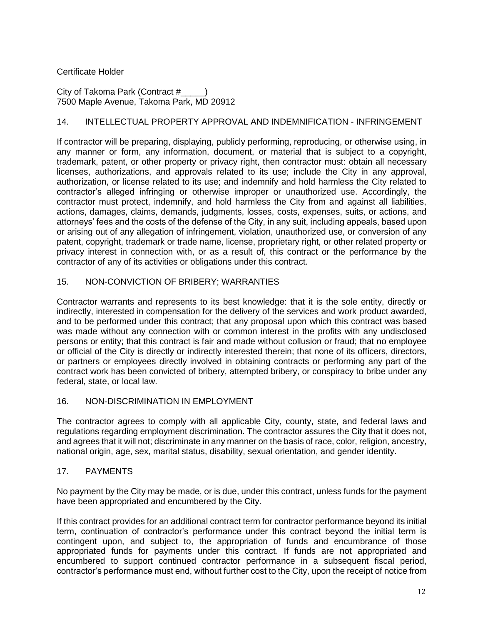## Certificate Holder

City of Takoma Park (Contract # 7500 Maple Avenue, Takoma Park, MD 20912

## 14. INTELLECTUAL PROPERTY APPROVAL AND INDEMNIFICATION - INFRINGEMENT

If contractor will be preparing, displaying, publicly performing, reproducing, or otherwise using, in any manner or form, any information, document, or material that is subject to a copyright, trademark, patent, or other property or privacy right, then contractor must: obtain all necessary licenses, authorizations, and approvals related to its use; include the City in any approval, authorization, or license related to its use; and indemnify and hold harmless the City related to contractor's alleged infringing or otherwise improper or unauthorized use. Accordingly, the contractor must protect, indemnify, and hold harmless the City from and against all liabilities, actions, damages, claims, demands, judgments, losses, costs, expenses, suits, or actions, and attorneys' fees and the costs of the defense of the City, in any suit, including appeals, based upon or arising out of any allegation of infringement, violation, unauthorized use, or conversion of any patent, copyright, trademark or trade name, license, proprietary right, or other related property or privacy interest in connection with, or as a result of, this contract or the performance by the contractor of any of its activities or obligations under this contract.

## 15. NON-CONVICTION OF BRIBERY; WARRANTIES

Contractor warrants and represents to its best knowledge: that it is the sole entity, directly or indirectly, interested in compensation for the delivery of the services and work product awarded, and to be performed under this contract; that any proposal upon which this contract was based was made without any connection with or common interest in the profits with any undisclosed persons or entity; that this contract is fair and made without collusion or fraud; that no employee or official of the City is directly or indirectly interested therein; that none of its officers, directors, or partners or employees directly involved in obtaining contracts or performing any part of the contract work has been convicted of bribery, attempted bribery, or conspiracy to bribe under any federal, state, or local law.

### 16. NON-DISCRIMINATION IN EMPLOYMENT

The contractor agrees to comply with all applicable City, county, state, and federal laws and regulations regarding employment discrimination. The contractor assures the City that it does not, and agrees that it will not; discriminate in any manner on the basis of race, color, religion, ancestry, national origin, age, sex, marital status, disability, sexual orientation, and gender identity.

### 17. PAYMENTS

No payment by the City may be made, or is due, under this contract, unless funds for the payment have been appropriated and encumbered by the City.

If this contract provides for an additional contract term for contractor performance beyond its initial term, continuation of contractor's performance under this contract beyond the initial term is contingent upon, and subject to, the appropriation of funds and encumbrance of those appropriated funds for payments under this contract. If funds are not appropriated and encumbered to support continued contractor performance in a subsequent fiscal period, contractor's performance must end, without further cost to the City, upon the receipt of notice from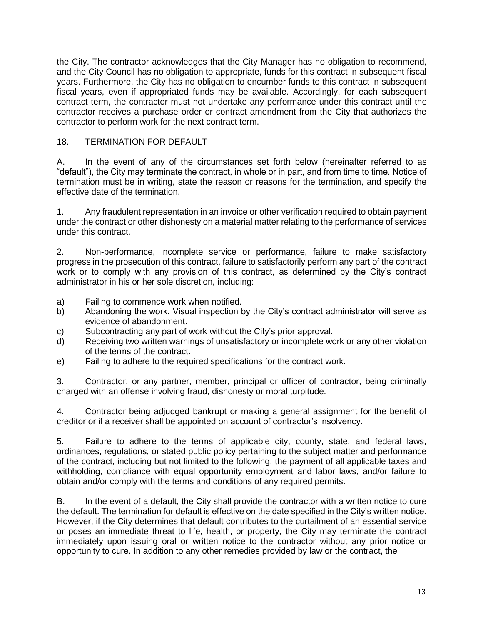the City. The contractor acknowledges that the City Manager has no obligation to recommend, and the City Council has no obligation to appropriate, funds for this contract in subsequent fiscal years. Furthermore, the City has no obligation to encumber funds to this contract in subsequent fiscal years, even if appropriated funds may be available. Accordingly, for each subsequent contract term, the contractor must not undertake any performance under this contract until the contractor receives a purchase order or contract amendment from the City that authorizes the contractor to perform work for the next contract term.

## 18. TERMINATION FOR DEFAULT

A. In the event of any of the circumstances set forth below (hereinafter referred to as "default"), the City may terminate the contract, in whole or in part, and from time to time. Notice of termination must be in writing, state the reason or reasons for the termination, and specify the effective date of the termination.

1. Any fraudulent representation in an invoice or other verification required to obtain payment under the contract or other dishonesty on a material matter relating to the performance of services under this contract.

2. Non-performance, incomplete service or performance, failure to make satisfactory progress in the prosecution of this contract, failure to satisfactorily perform any part of the contract work or to comply with any provision of this contract, as determined by the City's contract administrator in his or her sole discretion, including:

- a) Failing to commence work when notified.
- b) Abandoning the work. Visual inspection by the City's contract administrator will serve as evidence of abandonment.
- c) Subcontracting any part of work without the City's prior approval.
- d) Receiving two written warnings of unsatisfactory or incomplete work or any other violation of the terms of the contract.
- e) Failing to adhere to the required specifications for the contract work.

3. Contractor, or any partner, member, principal or officer of contractor, being criminally charged with an offense involving fraud, dishonesty or moral turpitude.

4. Contractor being adjudged bankrupt or making a general assignment for the benefit of creditor or if a receiver shall be appointed on account of contractor's insolvency.

5. Failure to adhere to the terms of applicable city, county, state, and federal laws, ordinances, regulations, or stated public policy pertaining to the subject matter and performance of the contract, including but not limited to the following: the payment of all applicable taxes and withholding, compliance with equal opportunity employment and labor laws, and/or failure to obtain and/or comply with the terms and conditions of any required permits.

B. In the event of a default, the City shall provide the contractor with a written notice to cure the default. The termination for default is effective on the date specified in the City's written notice. However, if the City determines that default contributes to the curtailment of an essential service or poses an immediate threat to life, health, or property, the City may terminate the contract immediately upon issuing oral or written notice to the contractor without any prior notice or opportunity to cure. In addition to any other remedies provided by law or the contract, the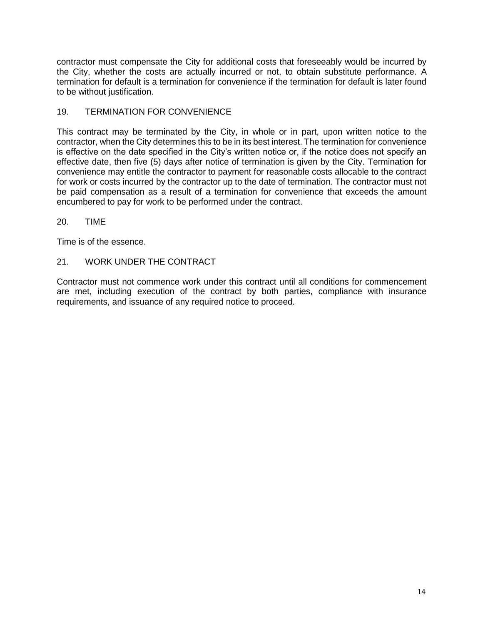contractor must compensate the City for additional costs that foreseeably would be incurred by the City, whether the costs are actually incurred or not, to obtain substitute performance. A termination for default is a termination for convenience if the termination for default is later found to be without justification.

### 19. TERMINATION FOR CONVENIENCE

This contract may be terminated by the City, in whole or in part, upon written notice to the contractor, when the City determines this to be in its best interest. The termination for convenience is effective on the date specified in the City's written notice or, if the notice does not specify an effective date, then five (5) days after notice of termination is given by the City. Termination for convenience may entitle the contractor to payment for reasonable costs allocable to the contract for work or costs incurred by the contractor up to the date of termination. The contractor must not be paid compensation as a result of a termination for convenience that exceeds the amount encumbered to pay for work to be performed under the contract.

### 20. TIME

Time is of the essence.

### 21. WORK UNDER THE CONTRACT

Contractor must not commence work under this contract until all conditions for commencement are met, including execution of the contract by both parties, compliance with insurance requirements, and issuance of any required notice to proceed.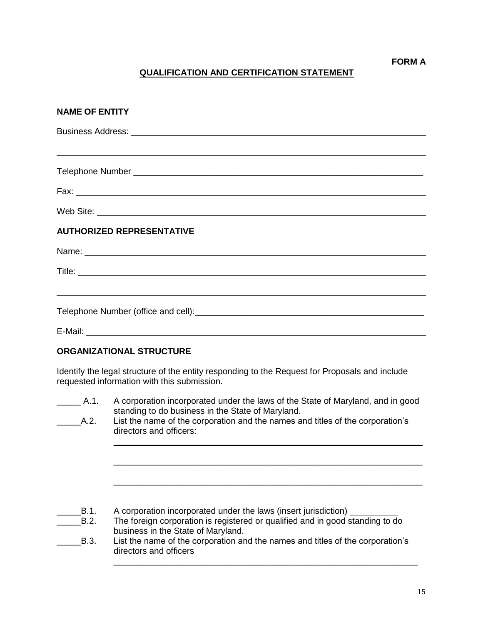# **QUALIFICATION AND CERTIFICATION STATEMENT**

| Business Address: <u>Communications</u> Contract and Contract Contract Contract Contract Contract Contract Contract Contract Contract Contract Contract Contract Contract Contract Contract Contract Contract Contract Contract Con |
|-------------------------------------------------------------------------------------------------------------------------------------------------------------------------------------------------------------------------------------|
| <u> 1989 - John Stein, mars and de Britain and de Britain and de Britain and de Britain and de Britain and de Br</u>                                                                                                                |
|                                                                                                                                                                                                                                     |
|                                                                                                                                                                                                                                     |
|                                                                                                                                                                                                                                     |
| <b>AUTHORIZED REPRESENTATIVE</b>                                                                                                                                                                                                    |
|                                                                                                                                                                                                                                     |
|                                                                                                                                                                                                                                     |
| <u> 1999 - Johann Stoff, amerikansk politiker (d. 1989)</u>                                                                                                                                                                         |
|                                                                                                                                                                                                                                     |
| E-Mail: No. 2008. The Commission of the Commission of the Commission of the Commission of the Commission of the Commission of the Commission of the Commission of the Commission of the Commission of the Commission of the Co      |
| <b>ORGANIZATIONAL STRUCTURE</b>                                                                                                                                                                                                     |

Identify the legal structure of the entity responding to the Request for Proposals and include requested information with this submission.

| A.1.<br>A.2. | A corporation incorporated under the laws of the State of Maryland, and in good<br>standing to do business in the State of Maryland.<br>List the name of the corporation and the names and titles of the corporation's<br>directors and officers: |
|--------------|---------------------------------------------------------------------------------------------------------------------------------------------------------------------------------------------------------------------------------------------------|
|              |                                                                                                                                                                                                                                                   |
| B.1.<br>B.2. | A corporation incorporated under the laws (insert jurisdiction)<br>The foreign corporation is registered or qualified and in good standing to do<br>business in the State of Maryland.                                                            |
| B.3.         | List the name of the corporation and the names and titles of the corporation's<br>directors and officers                                                                                                                                          |

\_\_\_\_\_\_\_\_\_\_\_\_\_\_\_\_\_\_\_\_\_\_\_\_\_\_\_\_\_\_\_\_\_\_\_\_\_\_\_\_\_\_\_\_\_\_\_\_\_\_\_\_\_\_\_\_\_\_\_\_\_\_\_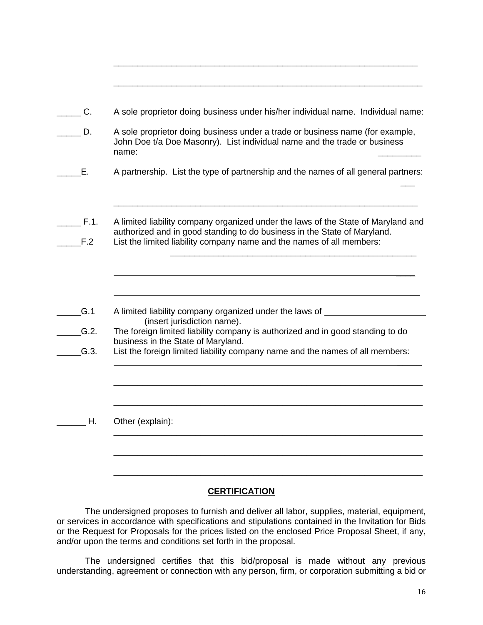| $\overline{C}$ . | A sole proprietor doing business under his/her individual name. Individual name:                                                                                                                                                       |
|------------------|----------------------------------------------------------------------------------------------------------------------------------------------------------------------------------------------------------------------------------------|
| D.               | A sole proprietor doing business under a trade or business name (for example,<br>John Doe t/a Doe Masonry). List individual name and the trade or business                                                                             |
| Е.               | A partnership. List the type of partnership and the names of all general partners:                                                                                                                                                     |
| $F.1$ .<br>F.2   | A limited liability company organized under the laws of the State of Maryland and<br>authorized and in good standing to do business in the State of Maryland.<br>List the limited liability company name and the names of all members: |
|                  |                                                                                                                                                                                                                                        |
| G.1              | A limited liability company organized under the laws of _____<br>(insert jurisdiction name).                                                                                                                                           |
| G.2.             | The foreign limited liability company is authorized and in good standing to do<br>business in the State of Maryland.                                                                                                                   |
| G.3.             | List the foreign limited liability company name and the names of all members:                                                                                                                                                          |
|                  |                                                                                                                                                                                                                                        |
| Η.               |                                                                                                                                                                                                                                        |
|                  | Other (explain):                                                                                                                                                                                                                       |
|                  |                                                                                                                                                                                                                                        |
|                  |                                                                                                                                                                                                                                        |

\_\_\_\_\_\_\_\_\_\_\_\_\_\_\_\_\_\_\_\_\_\_\_\_\_\_\_\_\_\_\_\_\_\_\_\_\_\_\_\_\_\_\_\_\_\_\_\_\_\_\_\_\_\_\_\_\_\_\_\_\_\_\_

## **CERTIFICATION**

The undersigned proposes to furnish and deliver all labor, supplies, material, equipment, or services in accordance with specifications and stipulations contained in the Invitation for Bids or the Request for Proposals for the prices listed on the enclosed Price Proposal Sheet, if any, and/or upon the terms and conditions set forth in the proposal.

The undersigned certifies that this bid/proposal is made without any previous understanding, agreement or connection with any person, firm, or corporation submitting a bid or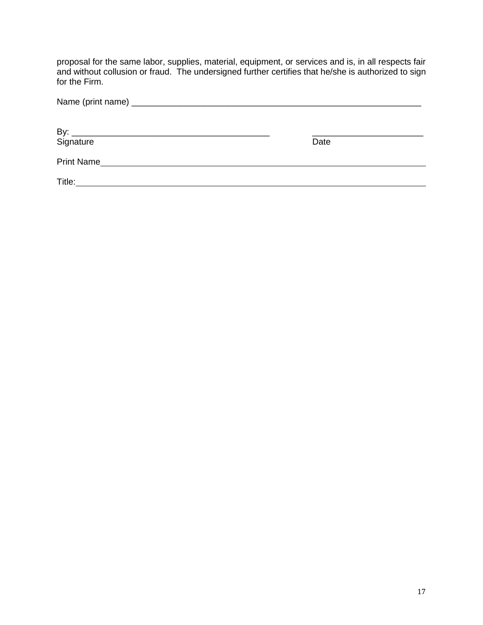proposal for the same labor, supplies, material, equipment, or services and is, in all respects fair and without collusion or fraud. The undersigned further certifies that he/she is authorized to sign for the Firm.

|                   | Date |
|-------------------|------|
| <b>Print Name</b> |      |
| Title:            |      |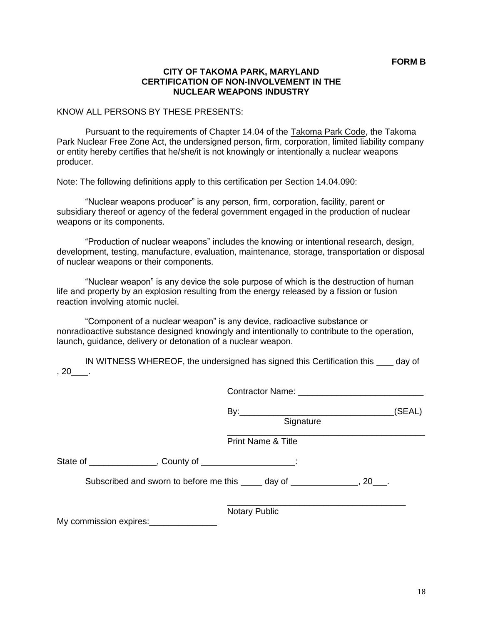#### **CITY OF TAKOMA PARK, MARYLAND CERTIFICATION OF NON-INVOLVEMENT IN THE NUCLEAR WEAPONS INDUSTRY**

#### KNOW ALL PERSONS BY THESE PRESENTS:

Pursuant to the requirements of Chapter 14.04 of the Takoma Park Code, the Takoma Park Nuclear Free Zone Act, the undersigned person, firm, corporation, limited liability company or entity hereby certifies that he/she/it is not knowingly or intentionally a nuclear weapons producer.

Note: The following definitions apply to this certification per Section 14.04.090:

"Nuclear weapons producer" is any person, firm, corporation, facility, parent or subsidiary thereof or agency of the federal government engaged in the production of nuclear weapons or its components.

"Production of nuclear weapons" includes the knowing or intentional research, design, development, testing, manufacture, evaluation, maintenance, storage, transportation or disposal of nuclear weapons or their components.

"Nuclear weapon" is any device the sole purpose of which is the destruction of human life and property by an explosion resulting from the energy released by a fission or fusion reaction involving atomic nuclei.

"Component of a nuclear weapon" is any device, radioactive substance or nonradioactive substance designed knowingly and intentionally to contribute to the operation, launch, guidance, delivery or detonation of a nuclear weapon.

|               | IN WITNESS WHEREOF, the undersigned has signed this Certification this _____ | day of |
|---------------|------------------------------------------------------------------------------|--------|
| , $20$ _____. |                                                                              |        |

|                                                                                 | Signature                     | (SEAL) |
|---------------------------------------------------------------------------------|-------------------------------|--------|
|                                                                                 | <b>Print Name &amp; Title</b> |        |
| State of ________________, County of ___________________:                       |                               |        |
| Subscribed and sworn to before me this ______ day of _________________, 20____. |                               |        |
| My commission expires: My commission expires:                                   | <b>Notary Public</b>          |        |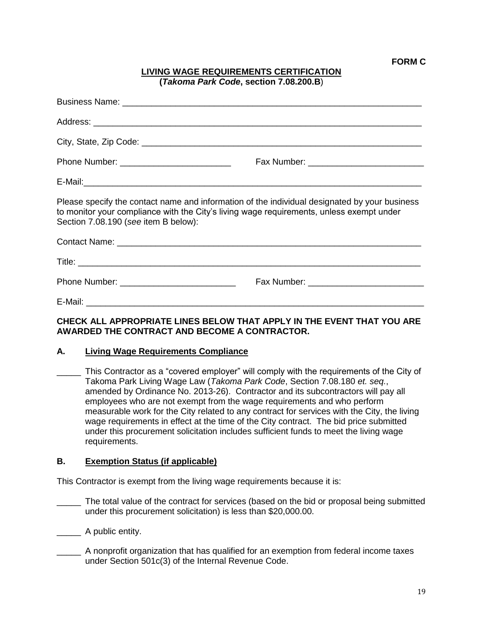### **LIVING WAGE REQUIREMENTS CERTIFICATION (***Takoma Park Code***, section 7.08.200.B**)

| Please specify the contact name and information of the individual designated by your business<br>to monitor your compliance with the City's living wage requirements, unless exempt under<br>Section 7.08.190 (see item B below): |  |  |
|-----------------------------------------------------------------------------------------------------------------------------------------------------------------------------------------------------------------------------------|--|--|
|                                                                                                                                                                                                                                   |  |  |
|                                                                                                                                                                                                                                   |  |  |
|                                                                                                                                                                                                                                   |  |  |
|                                                                                                                                                                                                                                   |  |  |

### **CHECK ALL APPROPRIATE LINES BELOW THAT APPLY IN THE EVENT THAT YOU ARE AWARDED THE CONTRACT AND BECOME A CONTRACTOR.**

### **A. Living Wage Requirements Compliance**

This Contractor as a "covered employer" will comply with the requirements of the City of Takoma Park Living Wage Law (*Takoma Park Code*, Section 7.08.180 *et. seq.*, amended by Ordinance No. 2013-26). Contractor and its subcontractors will pay all employees who are not exempt from the wage requirements and who perform measurable work for the City related to any contract for services with the City, the living wage requirements in effect at the time of the City contract. The bid price submitted under this procurement solicitation includes sufficient funds to meet the living wage requirements.

### **B. Exemption Status (if applicable)**

This Contractor is exempt from the living wage requirements because it is:

- The total value of the contract for services (based on the bid or proposal being submitted under this procurement solicitation) is less than \$20,000.00.
- \_\_\_\_\_\_\_\_\_ A public entity.
- \_\_\_\_\_ A nonprofit organization that has qualified for an exemption from federal income taxes under Section 501c(3) of the Internal Revenue Code.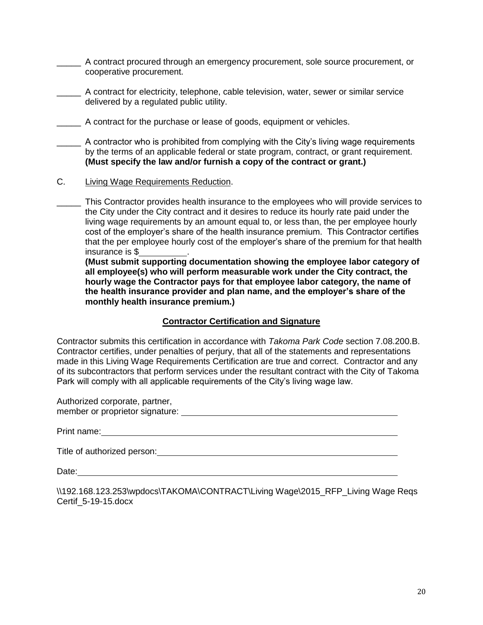\_\_\_\_\_ A contract procured through an emergency procurement, sole source procurement, or cooperative procurement.

\_\_\_\_\_ A contract for electricity, telephone, cable television, water, sewer or similar service delivered by a regulated public utility.

A contract for the purchase or lease of goods, equipment or vehicles.

\_\_\_\_\_ A contractor who is prohibited from complying with the City's living wage requirements by the terms of an applicable federal or state program, contract, or grant requirement. **(Must specify the law and/or furnish a copy of the contract or grant.)**

C. Living Wage Requirements Reduction.

\_\_\_\_\_ This Contractor provides health insurance to the employees who will provide services to the City under the City contract and it desires to reduce its hourly rate paid under the living wage requirements by an amount equal to, or less than, the per employee hourly cost of the employer's share of the health insurance premium. This Contractor certifies that the per employee hourly cost of the employer's share of the premium for that health insurance is \$ .

**(Must submit supporting documentation showing the employee labor category of all employee(s) who will perform measurable work under the City contract, the hourly wage the Contractor pays for that employee labor category, the name of the health insurance provider and plan name, and the employer's share of the monthly health insurance premium.)**

## **Contractor Certification and Signature**

Contractor submits this certification in accordance with *Takoma Park Code* section 7.08.200.B. Contractor certifies, under penalties of perjury, that all of the statements and representations made in this Living Wage Requirements Certification are true and correct. Contractor and any of its subcontractors that perform services under the resultant contract with the City of Takoma Park will comply with all applicable requirements of the City's living wage law.

Authorized corporate, partner, member or proprietor signature: with the contract of the contract of the contract of the contract of the contract of the contract of the contract of the contract of the contract of the contract of the contract of the contr

Print name: The Contract of The Contract of The Contract of The Contract of The Contract of The Contract of The Contract of The Contract of The Contract of The Contract of The Contract of The Contract of The Contract of Th

Title of authorized person:

Date:

\\192.168.123.253\wpdocs\TAKOMA\CONTRACT\Living Wage\2015\_RFP\_Living Wage Reqs Certif\_5-19-15.docx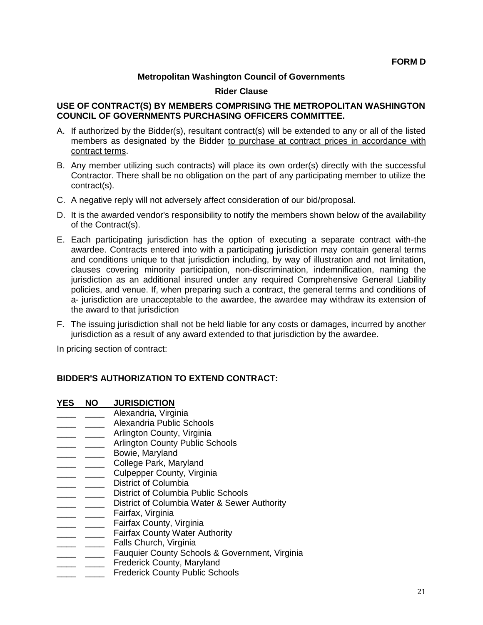### **Metropolitan Washington Council of Governments**

#### **Rider Clause**

### **USE OF CONTRACT(S) BY MEMBERS COMPRISING THE METROPOLITAN WASHINGTON COUNCIL OF GOVERNMENTS PURCHASING OFFICERS COMMITTEE.**

- A. If authorized by the Bidder(s), resultant contract(s) will be extended to any or all of the listed members as designated by the Bidder to purchase at contract prices in accordance with contract terms.
- B. Any member utilizing such contracts) will place its own order(s) directly with the successful Contractor. There shall be no obligation on the part of any participating member to utilize the contract(s).
- C. A negative reply will not adversely affect consideration of our bid/proposal.
- D. It is the awarded vendor's responsibility to notify the members shown below of the availability of the Contract(s).
- E. Each participating jurisdiction has the option of executing a separate contract with-the awardee. Contracts entered into with a participating jurisdiction may contain general terms and conditions unique to that jurisdiction including, by way of illustration and not limitation, clauses covering minority participation, non-discrimination, indemnification, naming the jurisdiction as an additional insured under any required Comprehensive General Liability policies, and venue. If, when preparing such a contract, the general terms and conditions of a- jurisdiction are unacceptable to the awardee, the awardee may withdraw its extension of the award to that jurisdiction
- F. The issuing jurisdiction shall not be held liable for any costs or damages, incurred by another jurisdiction as a result of any award extended to that jurisdiction by the awardee.

In pricing section of contract:

### **BIDDER'S AUTHORIZATION TO EXTEND CONTRACT:**

- **YES NO JURISDICTION**
- Alexandria, Virginia
- \_\_\_\_ \_\_\_\_ Alexandria Public Schools
- **\_\_\_\_\_** \_\_\_\_\_ Arlington County, Virginia
- \_\_\_\_ \_\_\_\_\_ Arlington County Public Schools<br>\_\_\_\_ \_\_\_\_\_ Bowie, Maryland
- Bowie, Maryland
- **\_\_\_\_ \_\_\_\_\_** College Park, Maryland
- **\_\_\_\_\_** \_\_\_\_\_ Culpepper County, Virginia
- **\_\_\_\_\_** \_\_\_\_\_\_ District of Columbia
- **EXECUTE:** 2015 District of Columbia Public Schools
- **\_\_\_\_\_** \_\_\_\_\_ District of Columbia Water & Sewer Authority
- \_\_\_\_ \_\_\_\_ Fairfax, Virginia
- \_\_\_\_ \_\_\_\_\_ Fairfax County, Virginia
- **with Texas County Water Authority**
- **\_\_\_\_ \_\_\_\_\_ Falls Church, Virginia**
- **\_\_\_\_\_ \_\_\_\_\_ Fauquier County Schools & Government, Virginia**
- \_\_\_\_ \_\_\_\_\_ Frederick County, Maryland
- \_ \_\_\_\_ Frederick County Public Schools